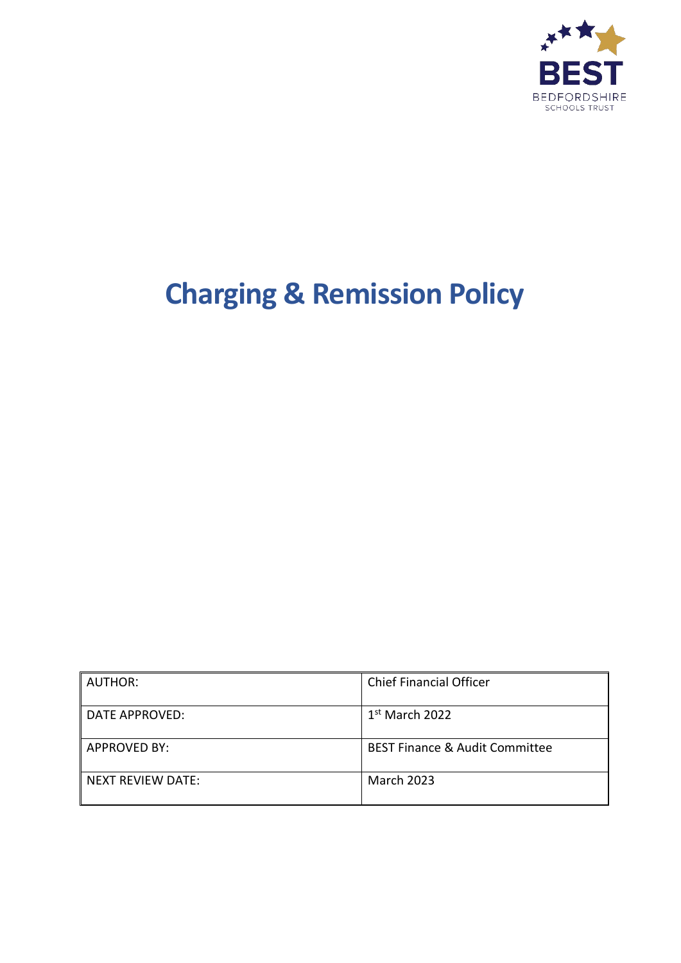

# **Charging & Remission Policy**

| <b>AUTHOR:</b>      | <b>Chief Financial Officer</b>            |
|---------------------|-------------------------------------------|
| DATE APPROVED:      | $1st$ March 2022                          |
| <b>APPROVED BY:</b> | <b>BEST Finance &amp; Audit Committee</b> |
| NEXT REVIEW DATE:   | <b>March 2023</b>                         |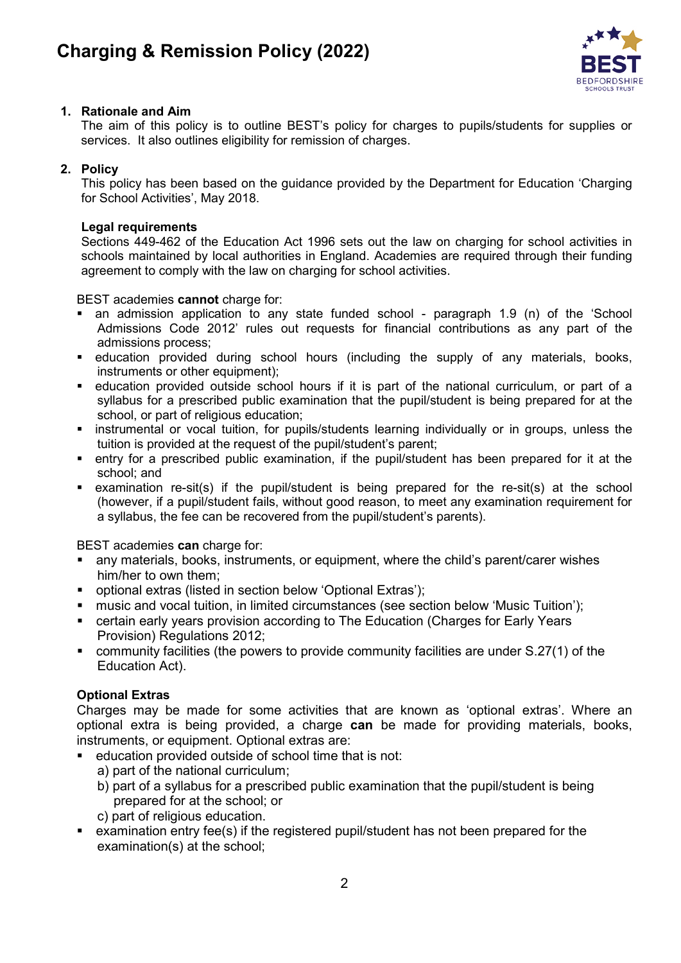

# **1. Rationale and Aim**

The aim of this policy is to outline BEST's policy for charges to pupils/students for supplies or services. It also outlines eligibility for remission of charges.

# **2. Policy**

This policy has been based on the guidance provided by the Department for Education 'Charging for School Activities', May 2018.

#### **Legal requirements**

Sections 449-462 of the Education Act 1996 sets out the law on charging for school activities in schools maintained by local authorities in England. Academies are required through their funding agreement to comply with the law on charging for school activities.

BEST academies **cannot** charge for:

- an admission application to any state funded school paragraph 1.9 (n) of the 'School Admissions Code 2012' rules out requests for financial contributions as any part of the admissions process;
- education provided during school hours (including the supply of any materials, books, instruments or other equipment):
- education provided outside school hours if it is part of the national curriculum, or part of a syllabus for a prescribed public examination that the pupil/student is being prepared for at the school, or part of religious education;
- **Example 1** instrumental or vocal tuition, for pupils/students learning individually or in groups, unless the tuition is provided at the request of the pupil/student's parent;
- entry for a prescribed public examination, if the pupil/student has been prepared for it at the school; and
- examination re-sit(s) if the pupil/student is being prepared for the re-sit(s) at the school (however, if a pupil/student fails, without good reason, to meet any examination requirement for a syllabus, the fee can be recovered from the pupil/student's parents).

BEST academies **can** charge for:

- any materials, books, instruments, or equipment, where the child's parent/carer wishes him/her to own them;
- optional extras (listed in section below 'Optional Extras');
- **namusic and vocal tuition, in limited circumstances (see section below 'Music Tuition');**
- certain early years provision according to The Education (Charges for Early Years Provision) Regulations 2012;
- community facilities (the powers to provide community facilities are under S.27(1) of the Education Act).

# **Optional Extras**

Charges may be made for some activities that are known as 'optional extras'. Where an optional extra is being provided, a charge **can** be made for providing materials, books, instruments, or equipment. Optional extras are:

- education provided outside of school time that is not:
	- a) part of the national curriculum;
	- b) part of a syllabus for a prescribed public examination that the pupil/student is being prepared for at the school; or
	- c) part of religious education.
- examination entry fee(s) if the registered pupil/student has not been prepared for the examination(s) at the school;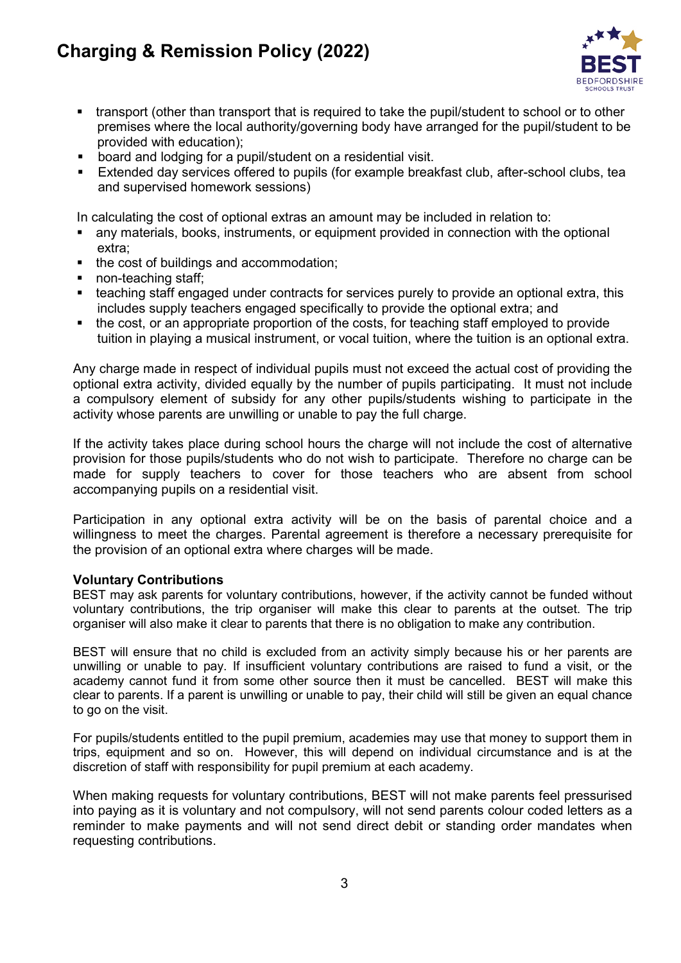# **Charging & Remission Policy (2022)**



- transport (other than transport that is required to take the pupil/student to school or to other premises where the local authority/governing body have arranged for the pupil/student to be provided with education);
- board and lodging for a pupil/student on a residential visit.
- Extended day services offered to pupils (for example breakfast club, after-school clubs, tea and supervised homework sessions)

In calculating the cost of optional extras an amount may be included in relation to:

- any materials, books, instruments, or equipment provided in connection with the optional extra;
- the cost of buildings and accommodation;
- non-teaching staff;
- teaching staff engaged under contracts for services purely to provide an optional extra, this includes supply teachers engaged specifically to provide the optional extra; and
- the cost, or an appropriate proportion of the costs, for teaching staff employed to provide tuition in playing a musical instrument, or vocal tuition, where the tuition is an optional extra.

Any charge made in respect of individual pupils must not exceed the actual cost of providing the optional extra activity, divided equally by the number of pupils participating. It must not include a compulsory element of subsidy for any other pupils/students wishing to participate in the activity whose parents are unwilling or unable to pay the full charge.

If the activity takes place during school hours the charge will not include the cost of alternative provision for those pupils/students who do not wish to participate. Therefore no charge can be made for supply teachers to cover for those teachers who are absent from school accompanying pupils on a residential visit.

Participation in any optional extra activity will be on the basis of parental choice and a willingness to meet the charges. Parental agreement is therefore a necessary prerequisite for the provision of an optional extra where charges will be made.

# **Voluntary Contributions**

BEST may ask parents for voluntary contributions, however, if the activity cannot be funded without voluntary contributions, the trip organiser will make this clear to parents at the outset. The trip organiser will also make it clear to parents that there is no obligation to make any contribution.

BEST will ensure that no child is excluded from an activity simply because his or her parents are unwilling or unable to pay. If insufficient voluntary contributions are raised to fund a visit, or the academy cannot fund it from some other source then it must be cancelled. BEST will make this clear to parents. If a parent is unwilling or unable to pay, their child will still be given an equal chance to go on the visit.

For pupils/students entitled to the pupil premium, academies may use that money to support them in trips, equipment and so on. However, this will depend on individual circumstance and is at the discretion of staff with responsibility for pupil premium at each academy.

When making requests for voluntary contributions, BEST will not make parents feel pressurised into paying as it is voluntary and not compulsory, will not send parents colour coded letters as a reminder to make payments and will not send direct debit or standing order mandates when requesting contributions.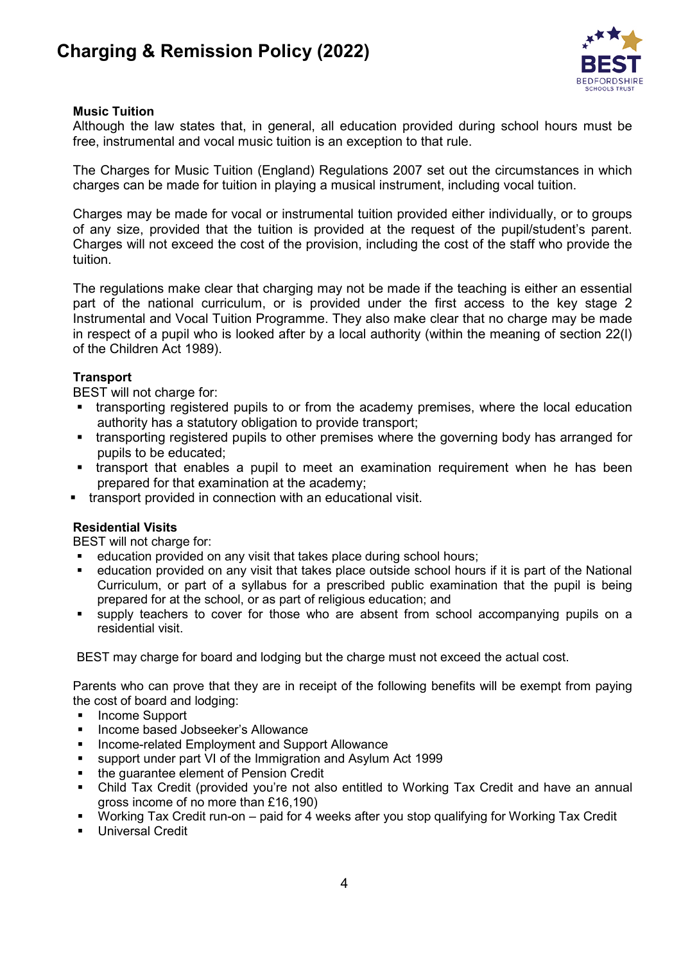

# **Music Tuition**

Although the law states that, in general, all education provided during school hours must be free, instrumental and vocal music tuition is an exception to that rule.

The Charges for Music Tuition (England) Regulations 2007 set out the circumstances in which charges can be made for tuition in playing a musical instrument, including vocal tuition.

Charges may be made for vocal or instrumental tuition provided either individually, or to groups of any size, provided that the tuition is provided at the request of the pupil/student's parent. Charges will not exceed the cost of the provision, including the cost of the staff who provide the tuition.

The regulations make clear that charging may not be made if the teaching is either an essential part of the national curriculum, or is provided under the first access to the key stage 2 Instrumental and Vocal Tuition Programme. They also make clear that no charge may be made in respect of a pupil who is looked after by a local authority (within the meaning of section 22(l) of the Children Act 1989).

# **Transport**

BEST will not charge for:

- transporting registered pupils to or from the academy premises, where the local education authority has a statutory obligation to provide transport;
- transporting registered pupils to other premises where the governing body has arranged for pupils to be educated;
- **tiansport that enables a pupil to meet an examination requirement when he has been** prepared for that examination at the academy;
- **transport provided in connection with an educational visit.**

# **Residential Visits**

BEST will not charge for:

- education provided on any visit that takes place during school hours;
- education provided on any visit that takes place outside school hours if it is part of the National Curriculum, or part of a syllabus for a prescribed public examination that the pupil is being prepared for at the school, or as part of religious education; and
- supply teachers to cover for those who are absent from school accompanying pupils on a residential visit.

BEST may charge for board and lodging but the charge must not exceed the actual cost.

Parents who can prove that they are in receipt of the following benefits will be exempt from paying the cost of board and lodging:

- **Income Support**
- Income based Jobseeker's Allowance
- Income-related Employment and Support Allowance
- support under part VI of the Immigration and Asylum Act 1999
- the guarantee element of Pension Credit
- Child Tax Credit (provided you're not also entitled to Working Tax Credit and have an annual gross income of no more than £16,190)
- Working Tax Credit run-on paid for 4 weeks after you stop qualifying for Working Tax Credit
- Universal Credit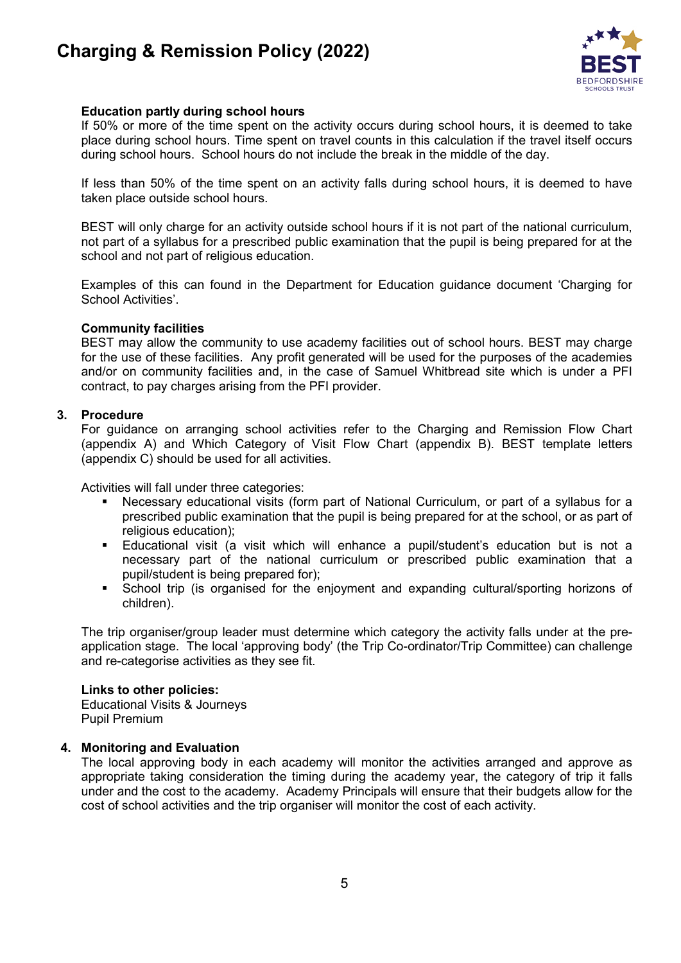# **Charging & Remission Policy (2022)**



# **Education partly during school hours**

If 50% or more of the time spent on the activity occurs during school hours, it is deemed to take place during school hours. Time spent on travel counts in this calculation if the travel itself occurs during school hours. School hours do not include the break in the middle of the day.

If less than 50% of the time spent on an activity falls during school hours, it is deemed to have taken place outside school hours.

BEST will only charge for an activity outside school hours if it is not part of the national curriculum, not part of a syllabus for a prescribed public examination that the pupil is being prepared for at the school and not part of religious education.

Examples of this can found in the Department for Education guidance document 'Charging for School Activities'.

#### **Community facilities**

BEST may allow the community to use academy facilities out of school hours. BEST may charge for the use of these facilities. Any profit generated will be used for the purposes of the academies and/or on community facilities and, in the case of Samuel Whitbread site which is under a PFI contract, to pay charges arising from the PFI provider.

#### **3. Procedure**

For guidance on arranging school activities refer to the Charging and Remission Flow Chart (appendix A) and Which Category of Visit Flow Chart (appendix B). BEST template letters (appendix C) should be used for all activities.

Activities will fall under three categories:

- Necessary educational visits (form part of National Curriculum, or part of a syllabus for a prescribed public examination that the pupil is being prepared for at the school, or as part of religious education);
- Educational visit (a visit which will enhance a pupil/student's education but is not a necessary part of the national curriculum or prescribed public examination that a pupil/student is being prepared for);
- School trip (is organised for the enjoyment and expanding cultural/sporting horizons of children).

The trip organiser/group leader must determine which category the activity falls under at the preapplication stage. The local 'approving body' (the Trip Co-ordinator/Trip Committee) can challenge and re-categorise activities as they see fit.

#### **Links to other policies:**

Educational Visits & Journeys Pupil Premium

#### **4. Monitoring and Evaluation**

The local approving body in each academy will monitor the activities arranged and approve as appropriate taking consideration the timing during the academy year, the category of trip it falls under and the cost to the academy. Academy Principals will ensure that their budgets allow for the cost of school activities and the trip organiser will monitor the cost of each activity.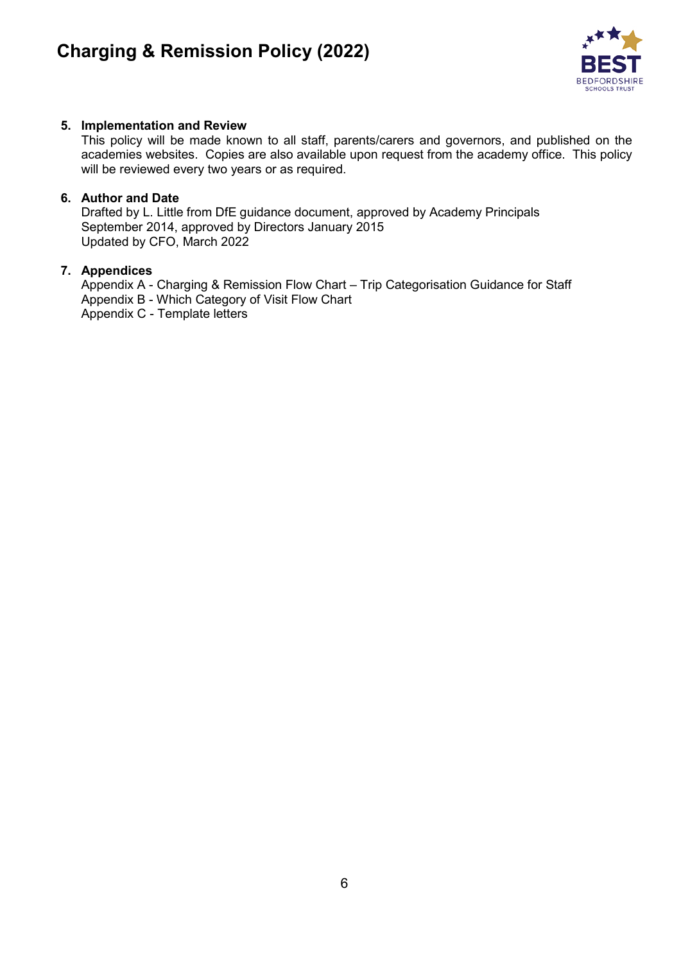

# **5. Implementation and Review**

This policy will be made known to all staff, parents/carers and governors, and published on the academies websites. Copies are also available upon request from the academy office. This policy will be reviewed every two years or as required.

# **6. Author and Date**

Drafted by L. Little from DfE guidance document, approved by Academy Principals September 2014, approved by Directors January 2015 Updated by CFO, March 2022

# **7. Appendices**

Appendix A - Charging & Remission Flow Chart – Trip Categorisation Guidance for Staff Appendix B - Which Category of Visit Flow Chart Appendix C - Template letters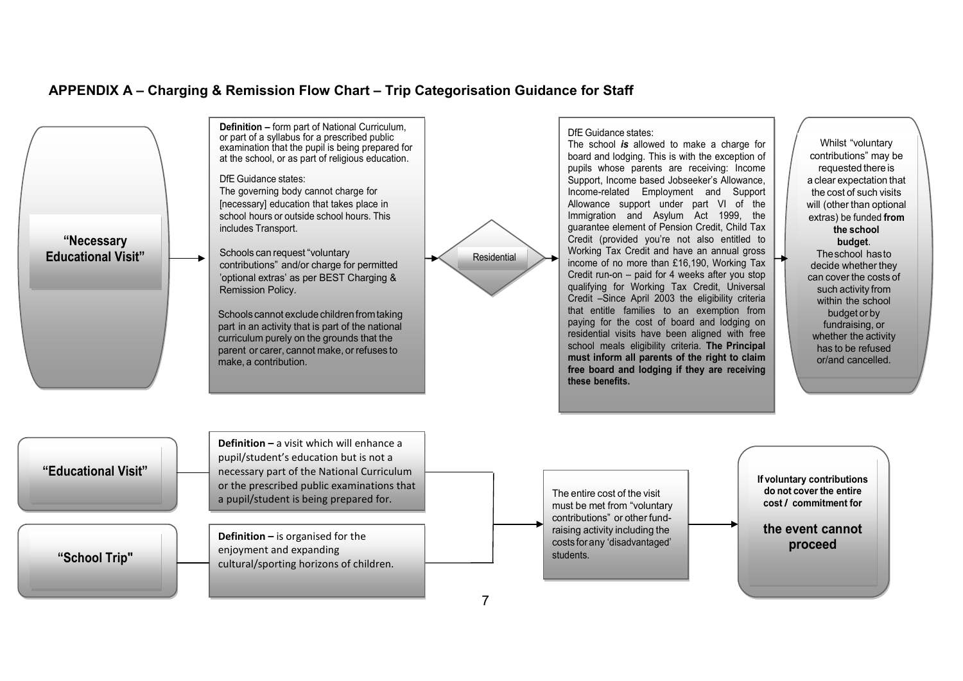# **APPENDIX A – Charging & Remission Flow Chart – Trip Categorisation Guidance for Staff**



7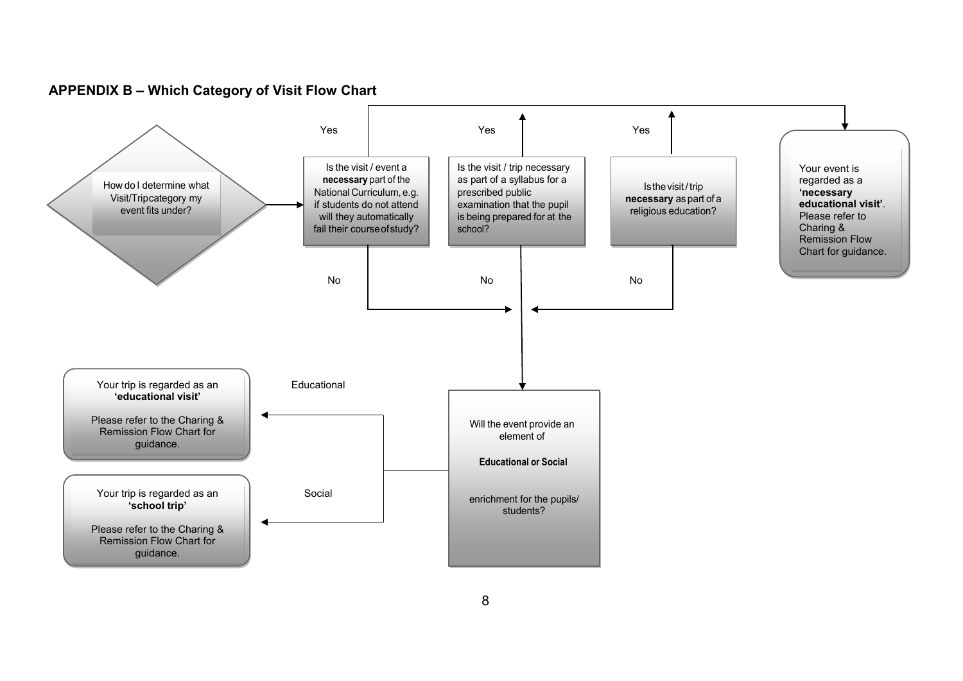**APPENDIX B – Which Category of Visit Flow Chart**

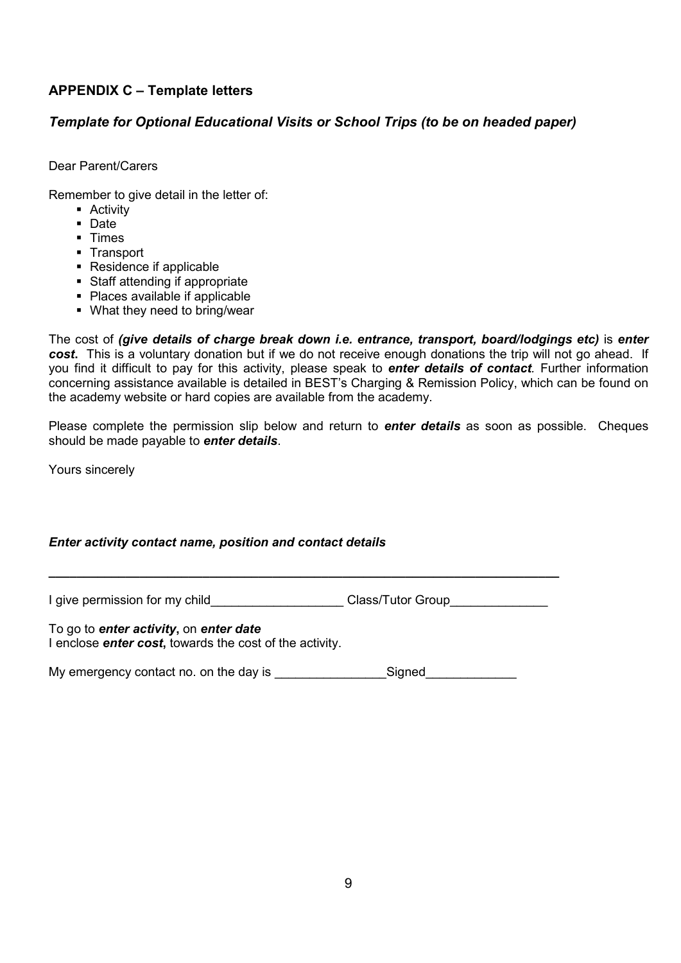# **APPENDIX C – Template letters**

# *Template for Optional Educational Visits or School Trips (to be on headed paper)*

Dear Parent/Carers

Remember to give detail in the letter of:

- **-** Activity
- Date
- **Times**
- **Transport**
- Residence if applicable
- Staff attending if appropriate
- Places available if applicable
- What they need to bring/wear

The cost of *(give details of charge break down i.e. entrance, transport, board/lodgings etc)* is *enter cost***.** This is a voluntary donation but if we do not receive enough donations the trip will not go ahead. If you find it difficult to pay for this activity, please speak to *enter details of contact.* Further information concerning assistance available is detailed in BEST's Charging & Remission Policy, which can be found on the academy website or hard copies are available from the academy.

Please complete the permission slip below and return to *enter details* as soon as possible. Cheques should be made payable to *enter details*.

Yours sincerely

# *Enter activity contact name, position and contact details*

I give permission for my child\_\_\_\_\_\_\_\_\_\_\_\_\_\_\_\_\_\_\_\_\_\_Class/Tutor Group\_\_\_\_\_\_\_\_\_\_\_

**\_\_\_\_\_\_\_\_\_\_\_\_\_\_\_\_\_\_\_\_\_\_\_\_\_\_\_\_\_\_\_\_\_\_\_\_\_\_\_\_\_\_\_\_\_\_\_\_\_\_\_\_\_\_\_\_\_\_\_\_\_\_\_\_\_\_\_\_\_\_\_\_\_**

To go to *enter activity***,** on *enter date* I enclose *enter cost***,** towards the cost of the activity.

My emergency contact no. on the day is example as Signed